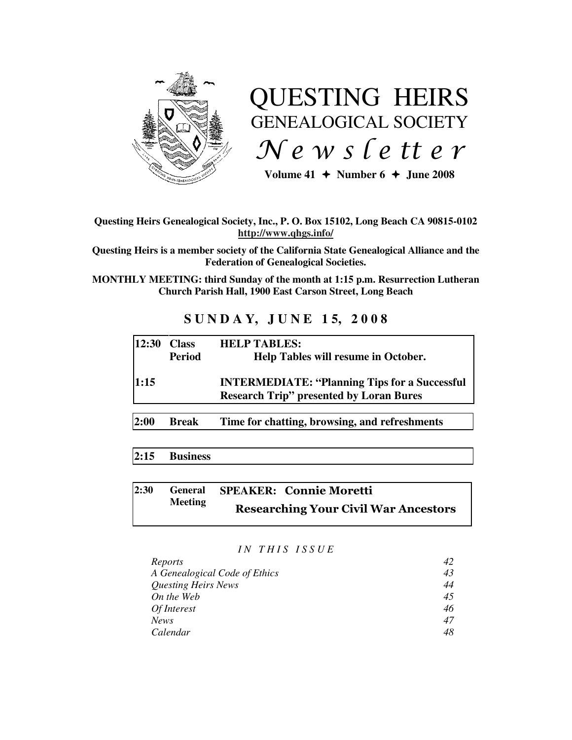

# QUESTING HEIRS GENEALOGICAL SOCIETY News letter

Volume  $41 +$  Number  $6 +$  June 2008

## **Questing Heirs Genealogical Society, Inc., P. O. Box 15102, Long Beach CA 90815-0102 http://www.qhgs.info/**

**Questing Heirs is a member society of the California State Genealogical Alliance and the Federation of Genealogical Societies.** 

**MONTHLY MEETING: third Sunday of the month at 1:15 p.m. Resurrection Lutheran Church Parish Hall, 1900 East Carson Street, Long Beach** 

# **S U N D A Y, J U N E 1 5, 2 0 0 8**

| 12:30 | <b>Class</b><br><b>Period</b> | <b>HELP TABLES:</b><br>Help Tables will resume in October.                                             |
|-------|-------------------------------|--------------------------------------------------------------------------------------------------------|
| 1:15  |                               | <b>INTERMEDIATE: "Planning Tips for a Successful</b><br><b>Research Trip" presented by Loran Bures</b> |
|       |                               |                                                                                                        |
| 2:00  | <b>Break</b>                  | Time for chatting, browsing, and refreshments                                                          |

## **2:15 Business**

#### **2:30 General Meeting SPEAKER:** Connie Moretti Researching Your Civil War Ancestors

*I N T H I S I S S U E* 

| Reports                       |    |
|-------------------------------|----|
| A Genealogical Code of Ethics | 43 |
| <b>Questing Heirs News</b>    | 44 |
| On the Web                    | 45 |
| Of Interest                   | 46 |
| <b>News</b>                   | 47 |
| Calendar                      | 48 |
|                               |    |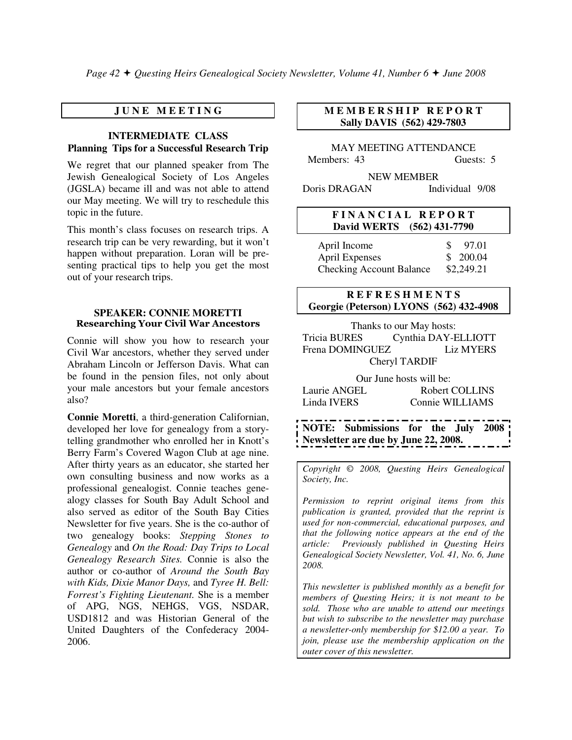## **J U N E M E E T I N G**

#### **INTERMEDIATE CLASS Planning Tips for a Successful Research Trip**

We regret that our planned speaker from The Jewish Genealogical Society of Los Angeles (JGSLA) became ill and was not able to attend our May meeting. We will try to reschedule this topic in the future.

This month's class focuses on research trips. A research trip can be very rewarding, but it won't happen without preparation. Loran will be presenting practical tips to help you get the most out of your research trips.

#### **SPEAKER: CONNIE MORETTI**  Researching Your Civil War Ancestors

Connie will show you how to research your Civil War ancestors, whether they served under Abraham Lincoln or Jefferson Davis. What can be found in the pension files, not only about your male ancestors but your female ancestors also?

**Connie Moretti**, a third-generation Californian, developed her love for genealogy from a storytelling grandmother who enrolled her in Knott's Berry Farm's Covered Wagon Club at age nine. After thirty years as an educator, she started her own consulting business and now works as a professional genealogist. Connie teaches genealogy classes for South Bay Adult School and also served as editor of the South Bay Cities Newsletter for five years. She is the co-author of two genealogy books: *Stepping Stones to Genealogy* and *On the Road: Day Trips to Local Genealogy Research Sites.* Connie is also the author or co-author of *Around the South Bay with Kids, Dixie Manor Days,* and *Tyree H. Bell: Forrest's Fighting Lieutenant.* She is a member of APG, NGS, NEHGS, VGS, NSDAR, USD1812 and was Historian General of the United Daughters of the Confederacy 2004- 2006.

## **M E M B E R S H I P R E P O R T Sally DAVIS (562) 429-7803**

MAY MEETING ATTENDANCE Members: 43 Guests: 5

NEW MEMBER Doris DRAGAN Individual 9/08

#### **F I N A N C I A L R E P O R T David WERTS (562) 431-7790**

| April Income                    | - S | 97.01      |
|---------------------------------|-----|------------|
| <b>April Expenses</b>           |     | \$200.04   |
| <b>Checking Account Balance</b> |     | \$2,249.21 |

## **R E F R E S H M E N T S Georgie (Peterson) LYONS (562) 432-4908**

Thanks to our May hosts: Tricia BURES Cynthia DAY-ELLIOTT Frena DOMINGUEZ Liz MYERS Cheryl TARDIF

| Our June hosts will be: |                 |  |  |  |
|-------------------------|-----------------|--|--|--|
| Laurie ANGEL            | Robert COLLINS  |  |  |  |
| Linda IVERS             | Connie WILLIAMS |  |  |  |

**NOTE: Submissions for the July 2008 Newsletter are due by June 22, 2008.** 

*Copyright* © *2008, Questing Heirs Genealogical Society, Inc.* 

*Permission to reprint original items from this publication is granted, provided that the reprint is used for non-commercial, educational purposes, and that the following notice appears at the end of the article: Previously published in Questing Heirs Genealogical Society Newsletter, Vol. 41, No. 6, June 2008.* 

*This newsletter is published monthly as a benefit for members of Questing Heirs; it is not meant to be sold. Those who are unable to attend our meetings but wish to subscribe to the newsletter may purchase a newsletter-only membership for \$12.00 a year. To join, please use the membership application on the outer cover of this newsletter.*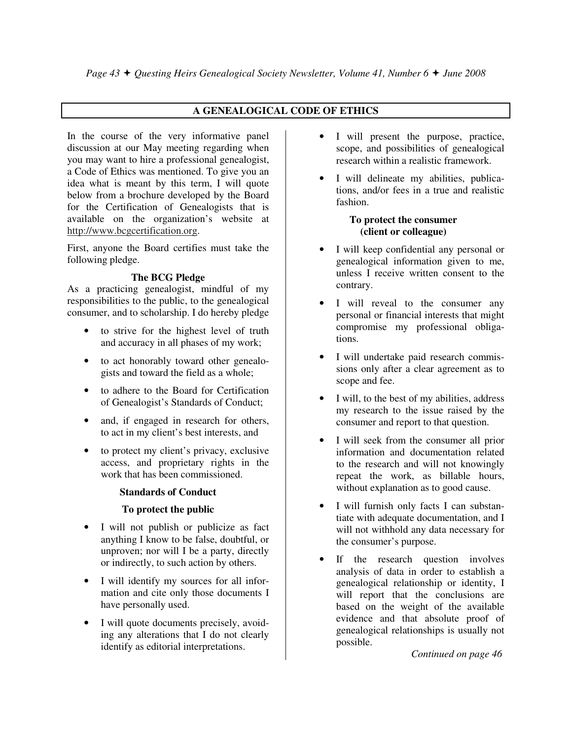## **A GENEALOGICAL CODE OF ETHICS**

In the course of the very informative panel discussion at our May meeting regarding when you may want to hire a professional genealogist, a Code of Ethics was mentioned. To give you an idea what is meant by this term, I will quote below from a brochure developed by the Board for the Certification of Genealogists that is available on the organization's website at http://www.bcgcertification.org.

First, anyone the Board certifies must take the following pledge.

## **The BCG Pledge**

As a practicing genealogist, mindful of my responsibilities to the public, to the genealogical consumer, and to scholarship. I do hereby pledge

- to strive for the highest level of truth and accuracy in all phases of my work;
- to act honorably toward other genealogists and toward the field as a whole;
- to adhere to the Board for Certification of Genealogist's Standards of Conduct;
- and, if engaged in research for others, to act in my client's best interests, and
- to protect my client's privacy, exclusive access, and proprietary rights in the work that has been commissioned.

#### **Standards of Conduct**

#### **To protect the public**

- I will not publish or publicize as fact anything I know to be false, doubtful, or unproven; nor will I be a party, directly or indirectly, to such action by others.
- I will identify my sources for all information and cite only those documents I have personally used.
- I will quote documents precisely, avoiding any alterations that I do not clearly identify as editorial interpretations.
- I will present the purpose, practice, scope, and possibilities of genealogical research within a realistic framework.
- I will delineate my abilities, publications, and/or fees in a true and realistic fashion.

#### **To protect the consumer (client or colleague)**

- I will keep confidential any personal or genealogical information given to me, unless I receive written consent to the contrary.
- I will reveal to the consumer any personal or financial interests that might compromise my professional obligations.
- I will undertake paid research commissions only after a clear agreement as to scope and fee.
- I will, to the best of my abilities, address my research to the issue raised by the consumer and report to that question.
- I will seek from the consumer all prior information and documentation related to the research and will not knowingly repeat the work, as billable hours, without explanation as to good cause.
- I will furnish only facts I can substantiate with adequate documentation, and I will not withhold any data necessary for the consumer's purpose.
- If the research question involves analysis of data in order to establish a genealogical relationship or identity, I will report that the conclusions are based on the weight of the available evidence and that absolute proof of genealogical relationships is usually not possible.

*Continued on page 46*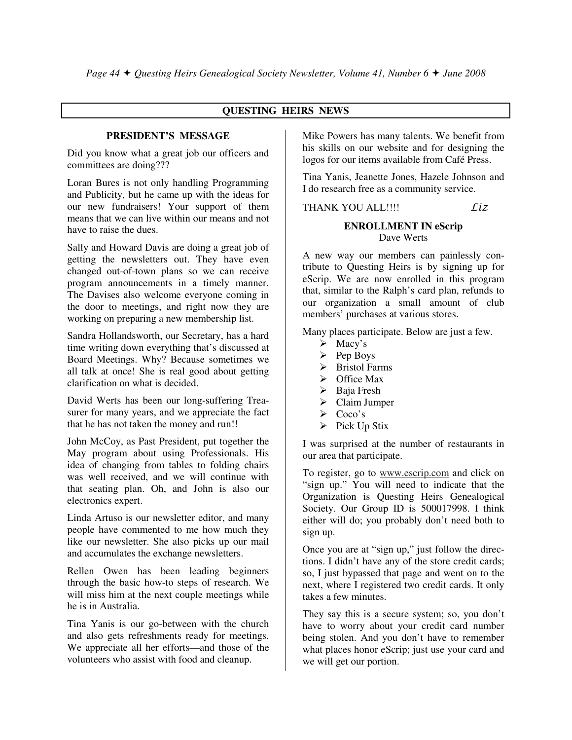## **QUESTING HEIRS NEWS**

#### **PRESIDENT'S MESSAGE**

Did you know what a great job our officers and committees are doing???

Loran Bures is not only handling Programming and Publicity, but he came up with the ideas for our new fundraisers! Your support of them means that we can live within our means and not have to raise the dues.

Sally and Howard Davis are doing a great job of getting the newsletters out. They have even changed out-of-town plans so we can receive program announcements in a timely manner. The Davises also welcome everyone coming in the door to meetings, and right now they are working on preparing a new membership list.

Sandra Hollandsworth, our Secretary, has a hard time writing down everything that's discussed at Board Meetings. Why? Because sometimes we all talk at once! She is real good about getting clarification on what is decided.

David Werts has been our long-suffering Treasurer for many years, and we appreciate the fact that he has not taken the money and run!!

John McCoy, as Past President, put together the May program about using Professionals. His idea of changing from tables to folding chairs was well received, and we will continue with that seating plan. Oh, and John is also our electronics expert.

Linda Artuso is our newsletter editor, and many people have commented to me how much they like our newsletter. She also picks up our mail and accumulates the exchange newsletters.

Rellen Owen has been leading beginners through the basic how-to steps of research. We will miss him at the next couple meetings while he is in Australia.

Tina Yanis is our go-between with the church and also gets refreshments ready for meetings. We appreciate all her efforts—and those of the volunteers who assist with food and cleanup.

Mike Powers has many talents. We benefit from his skills on our website and for designing the logos for our items available from Café Press.

Tina Yanis, Jeanette Jones, Hazele Johnson and I do research free as a community service.

THANK YOU ALL!!!!  $\hat{Liz}$ 

#### **ENROLLMENT IN eScrip**  Dave Werts

A new way our members can painlessly contribute to Questing Heirs is by signing up for eScrip. We are now enrolled in this program that, similar to the Ralph's card plan, refunds to our organization a small amount of club members' purchases at various stores.

Many places participate. Below are just a few.

- $\sum_{i=1}^{n}$  Macy's
- $\triangleright$  Pep Boys
- Bristol Farms
- > Office Max
- > Baja Fresh
- > Claim Jumper
- > Coco's
- > Pick Up Stix

I was surprised at the number of restaurants in our area that participate.

To register, go to www.escrip.com and click on "sign up." You will need to indicate that the Organization is Questing Heirs Genealogical Society. Our Group ID is 500017998. I think either will do; you probably don't need both to sign up.

Once you are at "sign up," just follow the directions. I didn't have any of the store credit cards; so, I just bypassed that page and went on to the next, where I registered two credit cards. It only takes a few minutes.

They say this is a secure system; so, you don't have to worry about your credit card number being stolen. And you don't have to remember what places honor eScrip; just use your card and we will get our portion.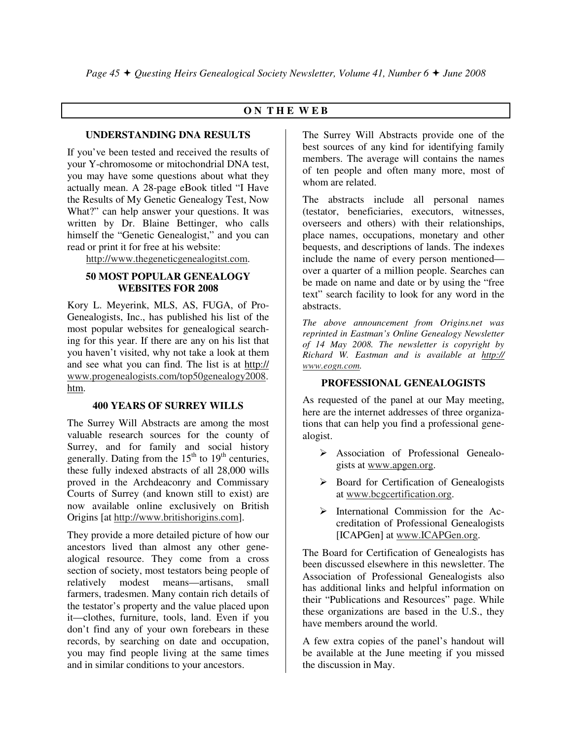## **O N T H E W E B**

#### **UNDERSTANDING DNA RESULTS**

If you've been tested and received the results of your Y-chromosome or mitochondrial DNA test, you may have some questions about what they actually mean. A 28-page eBook titled "I Have the Results of My Genetic Genealogy Test, Now What?" can help answer your questions. It was written by Dr. Blaine Bettinger, who calls himself the "Genetic Genealogist," and you can read or print it for free at his website:

http://www.thegeneticgenealogitst.com.

#### **50 MOST POPULAR GENEALOGY WEBSITES FOR 2008**

Kory L. Meyerink, MLS, AS, FUGA, of Pro-Genealogists, Inc., has published his list of the most popular websites for genealogical searching for this year. If there are any on his list that you haven't visited, why not take a look at them and see what you can find. The list is at http:// www.progenealogists.com/top50genealogy2008. htm.

#### **400 YEARS OF SURREY WILLS**

The Surrey Will Abstracts are among the most valuable research sources for the county of Surrey, and for family and social history generally. Dating from the  $15<sup>th</sup>$  to  $19<sup>th</sup>$  centuries, these fully indexed abstracts of all 28,000 wills proved in the Archdeaconry and Commissary Courts of Surrey (and known still to exist) are now available online exclusively on British Origins [at http://www.britishorigins.com].

They provide a more detailed picture of how our ancestors lived than almost any other genealogical resource. They come from a cross section of society, most testators being people of relatively modest means—artisans, small farmers, tradesmen. Many contain rich details of the testator's property and the value placed upon it—clothes, furniture, tools, land. Even if you don't find any of your own forebears in these records, by searching on date and occupation, you may find people living at the same times and in similar conditions to your ancestors.

The Surrey Will Abstracts provide one of the best sources of any kind for identifying family members. The average will contains the names of ten people and often many more, most of whom are related.

The abstracts include all personal names (testator, beneficiaries, executors, witnesses, overseers and others) with their relationships, place names, occupations, monetary and other bequests, and descriptions of lands. The indexes include the name of every person mentioned over a quarter of a million people. Searches can be made on name and date or by using the "free text" search facility to look for any word in the abstracts.

*The above announcement from Origins.net was reprinted in Eastman's Online Genealogy Newsletter of 14 May 2008. The newsletter is copyright by Richard W. Eastman and is available at http:// www.eogn.com.* 

## **PROFESSIONAL GENEALOGISTS**

As requested of the panel at our May meeting, here are the internet addresses of three organizations that can help you find a professional genealogist.

- Association of Professional Genealogists at www.apgen.org.
- > Board for Certification of Genealogists at www.bcgcertification.org.
- International Commission for the Accreditation of Professional Genealogists [ICAPGen] at www.ICAPGen.org.

The Board for Certification of Genealogists has been discussed elsewhere in this newsletter. The Association of Professional Genealogists also has additional links and helpful information on their "Publications and Resources" page. While these organizations are based in the U.S., they have members around the world.

A few extra copies of the panel's handout will be available at the June meeting if you missed the discussion in May.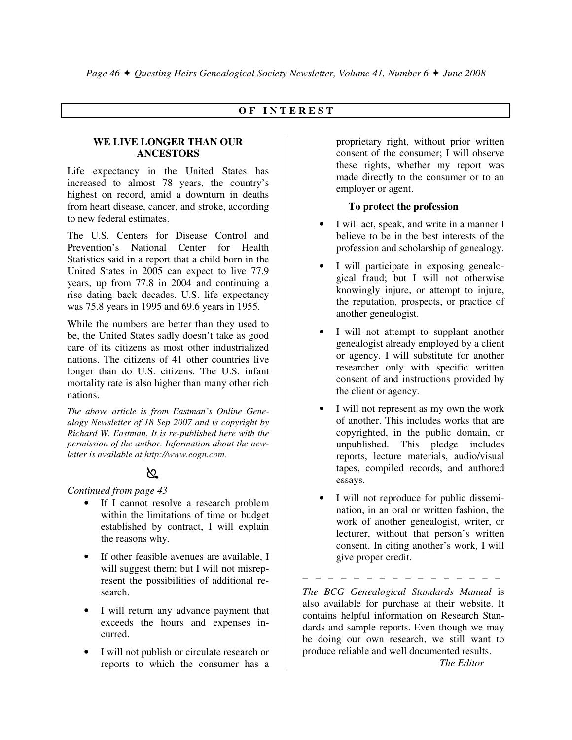## **O F I N T E R E S T**

## **WE LIVE LONGER THAN OUR ANCESTORS**

Life expectancy in the United States has increased to almost 78 years, the country's highest on record, amid a downturn in deaths from heart disease, cancer, and stroke, according to new federal estimates.

The U.S. Centers for Disease Control and Prevention's National Center for Health Statistics said in a report that a child born in the United States in 2005 can expect to live 77.9 years, up from 77.8 in 2004 and continuing a rise dating back decades. U.S. life expectancy was 75.8 years in 1995 and 69.6 years in 1955.

While the numbers are better than they used to be, the United States sadly doesn't take as good care of its citizens as most other industrialized nations. The citizens of 41 other countries live longer than do U.S. citizens. The U.S. infant mortality rate is also higher than many other rich nations.

*The above article is from Eastman's Online Genealogy Newsletter of 18 Sep 2007 and is copyright by Richard W. Eastman. It is re-published here with the permission of the author. Information about the newletter is available at http://www.eogn.com.* 

## $\varnothing$

*Continued from page 43* 

- If I cannot resolve a research problem within the limitations of time or budget established by contract, I will explain the reasons why.
- If other feasible avenues are available. I will suggest them; but I will not misrepresent the possibilities of additional research.
- I will return any advance payment that exceeds the hours and expenses incurred.
- I will not publish or circulate research or reports to which the consumer has a

proprietary right, without prior written consent of the consumer; I will observe these rights, whether my report was made directly to the consumer or to an employer or agent.

#### **To protect the profession**

- I will act, speak, and write in a manner I believe to be in the best interests of the profession and scholarship of genealogy.
- I will participate in exposing genealogical fraud; but I will not otherwise knowingly injure, or attempt to injure, the reputation, prospects, or practice of another genealogist.
- I will not attempt to supplant another genealogist already employed by a client or agency. I will substitute for another researcher only with specific written consent of and instructions provided by the client or agency.
- I will not represent as my own the work of another. This includes works that are copyrighted, in the public domain, or unpublished. This pledge includes reports, lecture materials, audio/visual tapes, compiled records, and authored essays.
- I will not reproduce for public dissemination, in an oral or written fashion, the work of another genealogist, writer, or lecturer, without that person's written consent. In citing another's work, I will give proper credit.

*The BCG Genealogical Standards Manual* is also available for purchase at their website. It contains helpful information on Research Standards and sample reports. Even though we may be doing our own research, we still want to produce reliable and well documented results.

\_ \_ \_ \_ \_ \_ \_ \_ \_ \_ \_ \_ \_ \_ \_ \_

*The Editor*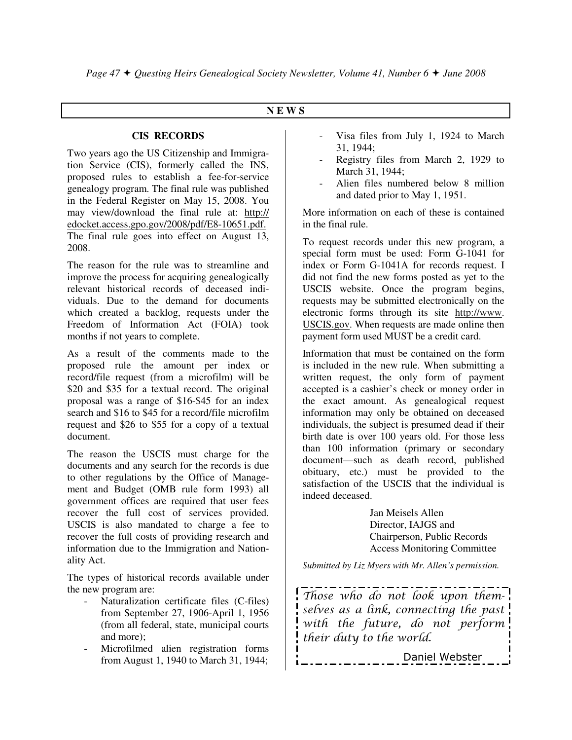## **N E W S**

## **CIS RECORDS**

Two years ago the US Citizenship and Immigration Service (CIS), formerly called the INS, proposed rules to establish a fee-for-service genealogy program. The final rule was published in the Federal Register on May 15, 2008. You may view/download the final rule at: http:// edocket.access.gpo.gov/2008/pdf/E8-10651.pdf. The final rule goes into effect on August 13, 2008.

The reason for the rule was to streamline and improve the process for acquiring genealogically relevant historical records of deceased individuals. Due to the demand for documents which created a backlog, requests under the Freedom of Information Act (FOIA) took months if not years to complete.

As a result of the comments made to the proposed rule the amount per index or record/file request (from a microfilm) will be \$20 and \$35 for a textual record. The original proposal was a range of \$16-\$45 for an index search and \$16 to \$45 for a record/file microfilm request and \$26 to \$55 for a copy of a textual document.

The reason the USCIS must charge for the documents and any search for the records is due to other regulations by the Office of Management and Budget (OMB rule form 1993) all government offices are required that user fees recover the full cost of services provided. USCIS is also mandated to charge a fee to recover the full costs of providing research and information due to the Immigration and Nationality Act.

The types of historical records available under the new program are:

- Naturalization certificate files (C-files) from September 27, 1906-April 1, 1956 (from all federal, state, municipal courts and more);
- Microfilmed alien registration forms from August 1, 1940 to March 31, 1944;
- Visa files from July 1, 1924 to March 31, 1944;
- Registry files from March 2, 1929 to March 31, 1944;
- Alien files numbered below 8 million and dated prior to May 1, 1951.

More information on each of these is contained in the final rule.

To request records under this new program, a special form must be used: Form G-1041 for index or Form G-1041A for records request. I did not find the new forms posted as yet to the USCIS website. Once the program begins, requests may be submitted electronically on the electronic forms through its site http://www. USCIS.gov. When requests are made online then payment form used MUST be a credit card.

Information that must be contained on the form is included in the new rule. When submitting a written request, the only form of payment accepted is a cashier's check or money order in the exact amount. As genealogical request information may only be obtained on deceased individuals, the subject is presumed dead if their birth date is over 100 years old. For those less than 100 information (primary or secondary document—such as death record, published obituary, etc.) must be provided to the satisfaction of the USCIS that the individual is indeed deceased.

> Jan Meisels Allen Director, IAJGS and Chairperson, Public Records Access Monitoring Committee

*Submitted by Liz Myers with Mr. Allen's permission.*

Those who do not look upon themselves as a link, connecting the past with the future, do not perform their duty to the world.

Daniel Webster